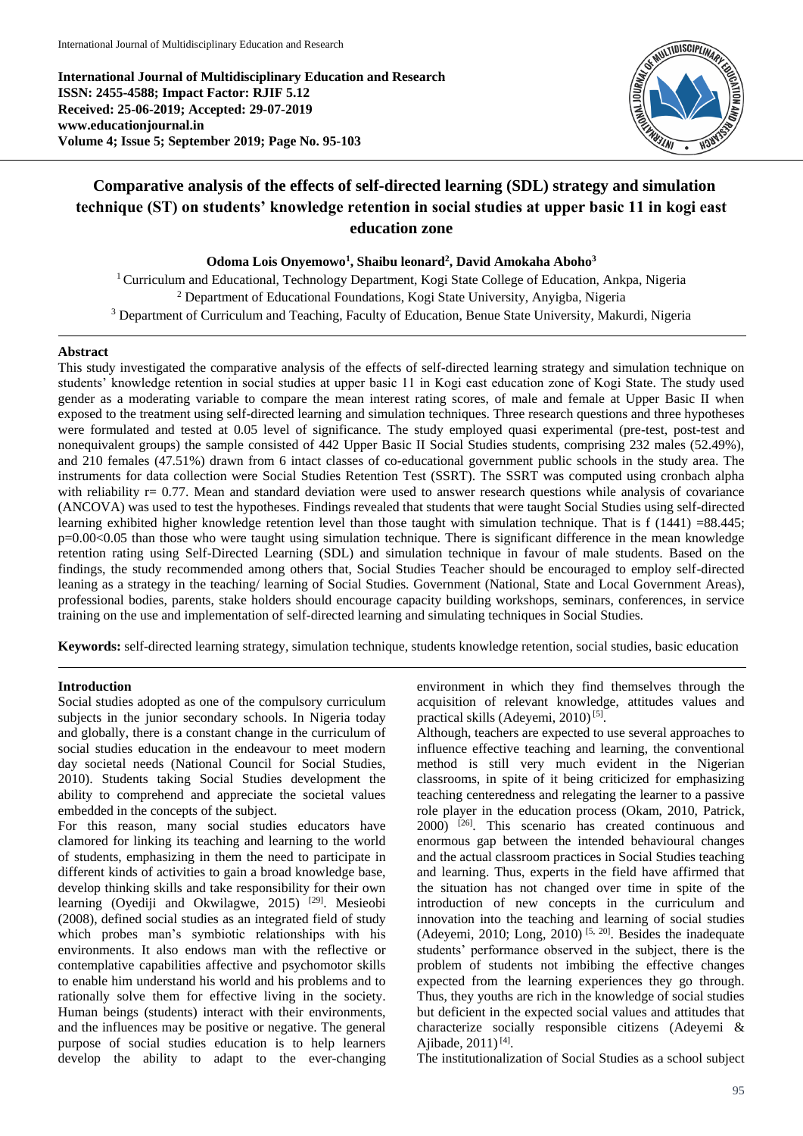**International Journal of Multidisciplinary Education and Research ISSN: 2455-4588; Impact Factor: RJIF 5.12 Received: 25-06-2019; Accepted: 29-07-2019 www.educationjournal.in Volume 4; Issue 5; September 2019; Page No. 95-103**



# **Comparative analysis of the effects of self-directed learning (SDL) strategy and simulation technique (ST) on students' knowledge retention in social studies at upper basic 11 in kogi east education zone**

**Odoma Lois Onyemowo<sup>1</sup> , Shaibu leonard<sup>2</sup> , David Amokaha Aboho<sup>3</sup>**

<sup>1</sup> Curriculum and Educational, Technology Department, Kogi State College of Education, Ankpa, Nigeria <sup>2</sup> Department of Educational Foundations, Kogi State University, Anyigba, Nigeria <sup>3</sup> Department of Curriculum and Teaching, Faculty of Education, Benue State University, Makurdi, Nigeria

## **Abstract**

This study investigated the comparative analysis of the effects of self-directed learning strategy and simulation technique on students' knowledge retention in social studies at upper basic 11 in Kogi east education zone of Kogi State. The study used gender as a moderating variable to compare the mean interest rating scores, of male and female at Upper Basic II when exposed to the treatment using self-directed learning and simulation techniques. Three research questions and three hypotheses were formulated and tested at 0.05 level of significance. The study employed quasi experimental (pre-test, post-test and nonequivalent groups) the sample consisted of 442 Upper Basic II Social Studies students, comprising 232 males (52.49%), and 210 females (47.51%) drawn from 6 intact classes of co-educational government public schools in the study area. The instruments for data collection were Social Studies Retention Test (SSRT). The SSRT was computed using cronbach alpha with reliability  $r= 0.77$ . Mean and standard deviation were used to answer research questions while analysis of covariance (ANCOVA) was used to test the hypotheses. Findings revealed that students that were taught Social Studies using self-directed learning exhibited higher knowledge retention level than those taught with simulation technique. That is f (1441) =88.445; p=0.00<0.05 than those who were taught using simulation technique. There is significant difference in the mean knowledge retention rating using Self-Directed Learning (SDL) and simulation technique in favour of male students. Based on the findings, the study recommended among others that, Social Studies Teacher should be encouraged to employ self-directed leaning as a strategy in the teaching/ learning of Social Studies. Government (National, State and Local Government Areas), professional bodies, parents, stake holders should encourage capacity building workshops, seminars, conferences, in service training on the use and implementation of self-directed learning and simulating techniques in Social Studies.

**Keywords:** self-directed learning strategy, simulation technique, students knowledge retention, social studies, basic education

# **Introduction**

Social studies adopted as one of the compulsory curriculum subjects in the junior secondary schools. In Nigeria today and globally, there is a constant change in the curriculum of social studies education in the endeavour to meet modern day societal needs (National Council for Social Studies, 2010). Students taking Social Studies development the ability to comprehend and appreciate the societal values embedded in the concepts of the subject.

For this reason, many social studies educators have clamored for linking its teaching and learning to the world of students, emphasizing in them the need to participate in different kinds of activities to gain a broad knowledge base, develop thinking skills and take responsibility for their own learning (Oyediji and Okwilagwe, 2015)<sup>[29]</sup>. Mesieobi (2008), defined social studies as an integrated field of study which probes man's symbiotic relationships with his environments. It also endows man with the reflective or contemplative capabilities affective and psychomotor skills to enable him understand his world and his problems and to rationally solve them for effective living in the society. Human beings (students) interact with their environments, and the influences may be positive or negative. The general purpose of social studies education is to help learners develop the ability to adapt to the ever-changing environment in which they find themselves through the acquisition of relevant knowledge, attitudes values and practical skills (Adeyemi, 2010)<sup>[5]</sup>.

Although, teachers are expected to use several approaches to influence effective teaching and learning, the conventional method is still very much evident in the Nigerian classrooms, in spite of it being criticized for emphasizing teaching centeredness and relegating the learner to a passive role player in the education process (Okam, 2010, Patrick, 2000) [26]. This scenario has created continuous and enormous gap between the intended behavioural changes and the actual classroom practices in Social Studies teaching and learning. Thus, experts in the field have affirmed that the situation has not changed over time in spite of the introduction of new concepts in the curriculum and innovation into the teaching and learning of social studies (Adeyemi, 2010; Long, 2010)<sup>[5, 20]</sup>. Besides the inadequate students' performance observed in the subject, there is the problem of students not imbibing the effective changes expected from the learning experiences they go through. Thus, they youths are rich in the knowledge of social studies but deficient in the expected social values and attitudes that characterize socially responsible citizens (Adeyemi & Ajibade,  $2011$ <sup>[4]</sup>.

The institutionalization of Social Studies as a school subject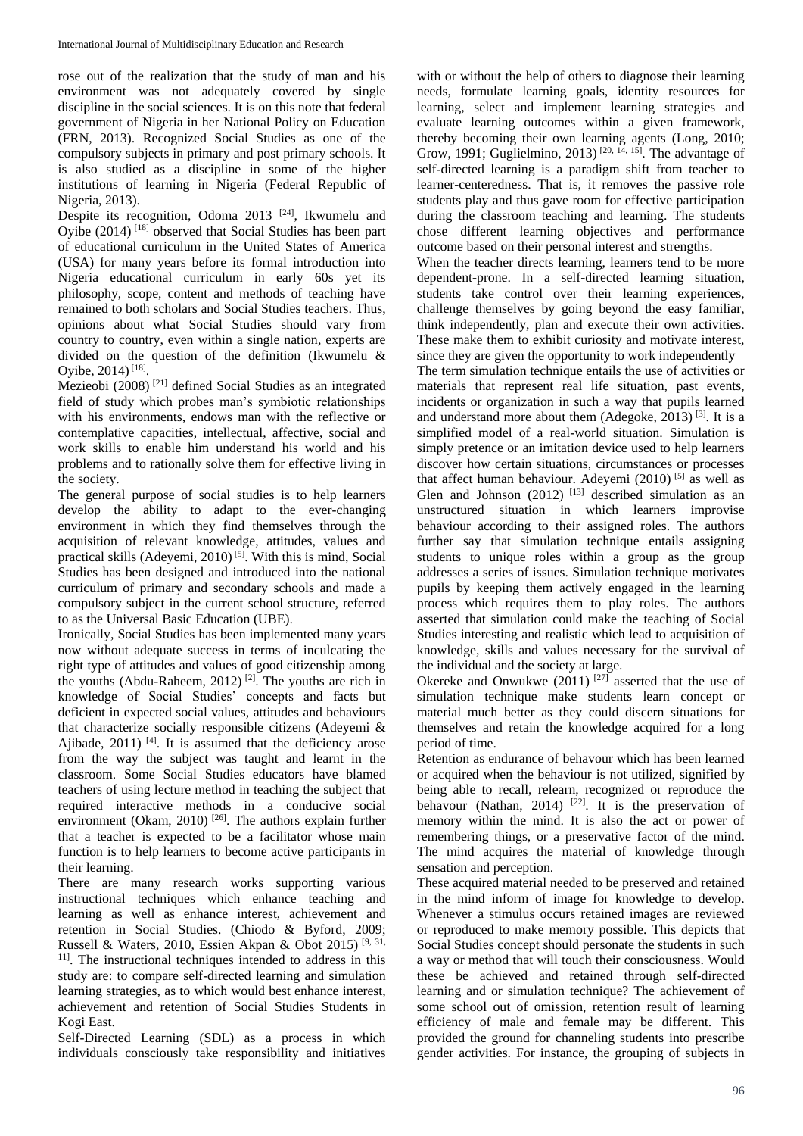rose out of the realization that the study of man and his environment was not adequately covered by single discipline in the social sciences. It is on this note that federal government of Nigeria in her National Policy on Education (FRN, 2013). Recognized Social Studies as one of the compulsory subjects in primary and post primary schools. It is also studied as a discipline in some of the higher institutions of learning in Nigeria (Federal Republic of Nigeria, 2013).

Despite its recognition, Odoma 2013<sup>[24]</sup>, Ikwumelu and Oyibe (2014) [18] observed that Social Studies has been part of educational curriculum in the United States of America (USA) for many years before its formal introduction into Nigeria educational curriculum in early 60s yet its philosophy, scope, content and methods of teaching have remained to both scholars and Social Studies teachers. Thus, opinions about what Social Studies should vary from country to country, even within a single nation, experts are divided on the question of the definition (Ikwumelu & Oyibe,  $2014$ )<sup>[18]</sup>.

Mezieobi (2008) [21] defined Social Studies as an integrated field of study which probes man's symbiotic relationships with his environments, endows man with the reflective or contemplative capacities, intellectual, affective, social and work skills to enable him understand his world and his problems and to rationally solve them for effective living in the society.

The general purpose of social studies is to help learners develop the ability to adapt to the ever-changing environment in which they find themselves through the acquisition of relevant knowledge, attitudes, values and practical skills (Adeyemi, 2010) [5]. With this is mind, Social Studies has been designed and introduced into the national curriculum of primary and secondary schools and made a compulsory subject in the current school structure, referred to as the Universal Basic Education (UBE).

Ironically, Social Studies has been implemented many years now without adequate success in terms of inculcating the right type of attitudes and values of good citizenship among the youths (Abdu-Raheem, 2012) [2]. The youths are rich in knowledge of Social Studies' concepts and facts but deficient in expected social values, attitudes and behaviours that characterize socially responsible citizens (Adeyemi & Ajibade, 2011)<sup>[4]</sup>. It is assumed that the deficiency arose from the way the subject was taught and learnt in the classroom. Some Social Studies educators have blamed teachers of using lecture method in teaching the subject that required interactive methods in a conducive social environment (Okam, 2010)<sup>[26]</sup>. The authors explain further that a teacher is expected to be a facilitator whose main function is to help learners to become active participants in their learning.

There are many research works supporting various instructional techniques which enhance teaching and learning as well as enhance interest, achievement and retention in Social Studies. (Chiodo & Byford, 2009; Russell & Waters, 2010, Essien Akpan & Obot 2015) [9, 31, <sup>11]</sup>. The instructional techniques intended to address in this study are: to compare self-directed learning and simulation learning strategies, as to which would best enhance interest, achievement and retention of Social Studies Students in Kogi East.

Self-Directed Learning (SDL) as a process in which individuals consciously take responsibility and initiatives

with or without the help of others to diagnose their learning needs, formulate learning goals, identity resources for learning, select and implement learning strategies and evaluate learning outcomes within a given framework, thereby becoming their own learning agents (Long, 2010; Grow, 1991; Guglielmino, 2013)<sup>[20, 14, 15]</sup>. The advantage of self-directed learning is a paradigm shift from teacher to learner-centeredness. That is, it removes the passive role students play and thus gave room for effective participation during the classroom teaching and learning. The students chose different learning objectives and performance outcome based on their personal interest and strengths.

When the teacher directs learning, learners tend to be more dependent-prone. In a self-directed learning situation, students take control over their learning experiences, challenge themselves by going beyond the easy familiar, think independently, plan and execute their own activities. These make them to exhibit curiosity and motivate interest, since they are given the opportunity to work independently

The term simulation technique entails the use of activities or materials that represent real life situation, past events, incidents or organization in such a way that pupils learned and understand more about them (Adegoke, 2013)  $[3]$ . It is a simplified model of a real-world situation. Simulation is simply pretence or an imitation device used to help learners discover how certain situations, circumstances or processes that affect human behaviour. Adeyemi (2010)  $^{[5]}$  as well as Glen and Johnson  $(2012)$ <sup>[13]</sup> described simulation as an unstructured situation in which learners improvise behaviour according to their assigned roles. The authors further say that simulation technique entails assigning students to unique roles within a group as the group addresses a series of issues. Simulation technique motivates pupils by keeping them actively engaged in the learning process which requires them to play roles. The authors asserted that simulation could make the teaching of Social Studies interesting and realistic which lead to acquisition of knowledge, skills and values necessary for the survival of the individual and the society at large.

Okereke and Onwukwe  $(2011)^{[27]}$  asserted that the use of simulation technique make students learn concept or material much better as they could discern situations for themselves and retain the knowledge acquired for a long period of time.

Retention as endurance of behavour which has been learned or acquired when the behaviour is not utilized, signified by being able to recall, relearn, recognized or reproduce the behavour (Nathan, 2014)  $[22]$ . It is the preservation of memory within the mind. It is also the act or power of remembering things, or a preservative factor of the mind. The mind acquires the material of knowledge through sensation and perception.

These acquired material needed to be preserved and retained in the mind inform of image for knowledge to develop. Whenever a stimulus occurs retained images are reviewed or reproduced to make memory possible. This depicts that Social Studies concept should personate the students in such a way or method that will touch their consciousness. Would these be achieved and retained through self-directed learning and or simulation technique? The achievement of some school out of omission, retention result of learning efficiency of male and female may be different. This provided the ground for channeling students into prescribe gender activities. For instance, the grouping of subjects in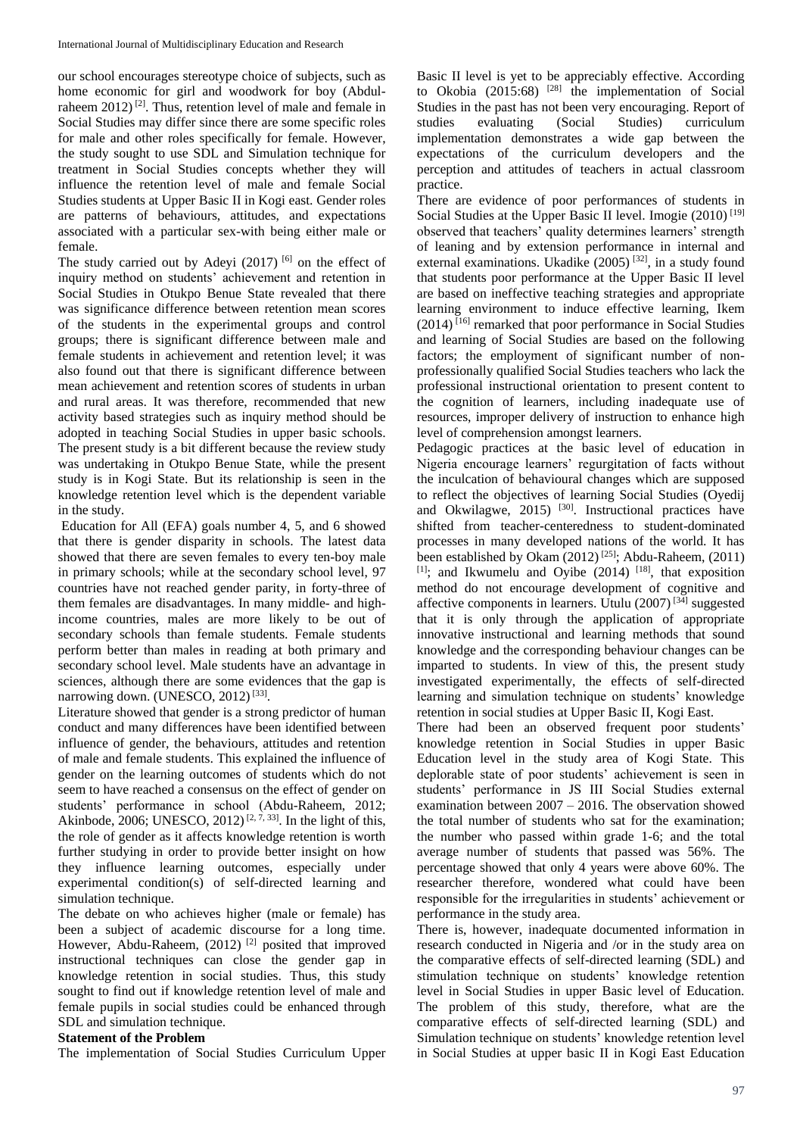our school encourages stereotype choice of subjects, such as home economic for girl and woodwork for boy (Abdulraheem  $2012$ <sup>[2]</sup>. Thus, retention level of male and female in Social Studies may differ since there are some specific roles for male and other roles specifically for female. However, the study sought to use SDL and Simulation technique for treatment in Social Studies concepts whether they will influence the retention level of male and female Social Studies students at Upper Basic II in Kogi east. Gender roles are patterns of behaviours, attitudes, and expectations associated with a particular sex-with being either male or female.

The study carried out by Adeyi (2017) [6] on the effect of inquiry method on students' achievement and retention in Social Studies in Otukpo Benue State revealed that there was significance difference between retention mean scores of the students in the experimental groups and control groups; there is significant difference between male and female students in achievement and retention level; it was also found out that there is significant difference between mean achievement and retention scores of students in urban and rural areas. It was therefore, recommended that new activity based strategies such as inquiry method should be adopted in teaching Social Studies in upper basic schools. The present study is a bit different because the review study was undertaking in Otukpo Benue State, while the present study is in Kogi State. But its relationship is seen in the knowledge retention level which is the dependent variable in the study.

Education for All (EFA) goals number 4, 5, and 6 showed that there is gender disparity in schools. The latest data showed that there are seven females to every ten-boy male in primary schools; while at the secondary school level, 97 countries have not reached gender parity, in forty-three of them females are disadvantages. In many middle- and highincome countries, males are more likely to be out of secondary schools than female students. Female students perform better than males in reading at both primary and secondary school level. Male students have an advantage in sciences, although there are some evidences that the gap is narrowing down. (UNESCO, 2012)<sup>[33]</sup>.

Literature showed that gender is a strong predictor of human conduct and many differences have been identified between influence of gender, the behaviours, attitudes and retention of male and female students. This explained the influence of gender on the learning outcomes of students which do not seem to have reached a consensus on the effect of gender on students' performance in school (Abdu-Raheem, 2012; Akinbode, 2006; UNESCO, 2012)<sup>[2,  $\lambda$ , 33]</sup>. In the light of this, the role of gender as it affects knowledge retention is worth further studying in order to provide better insight on how they influence learning outcomes, especially under experimental condition(s) of self-directed learning and simulation technique.

The debate on who achieves higher (male or female) has been a subject of academic discourse for a long time. However, Abdu-Raheem, (2012)<sup>[2]</sup> posited that improved instructional techniques can close the gender gap in knowledge retention in social studies. Thus, this study sought to find out if knowledge retention level of male and female pupils in social studies could be enhanced through SDL and simulation technique.

### **Statement of the Problem**

The implementation of Social Studies Curriculum Upper

Basic II level is yet to be appreciably effective. According to Okobia  $(2015:68)$ <sup>[28]</sup> the implementation of Social Studies in the past has not been very encouraging. Report of studies evaluating (Social Studies) curriculum implementation demonstrates a wide gap between the expectations of the curriculum developers and the perception and attitudes of teachers in actual classroom practice.

There are evidence of poor performances of students in Social Studies at the Upper Basic II level. Imogie (2010)<sup>[19]</sup> observed that teachers' quality determines learners' strength of leaning and by extension performance in internal and external examinations. Ukadike (2005)<sup>[32]</sup>, in a study found that students poor performance at the Upper Basic II level are based on ineffective teaching strategies and appropriate learning environment to induce effective learning, Ikem  $(2014)$ <sup>[16]</sup> remarked that poor performance in Social Studies and learning of Social Studies are based on the following factors; the employment of significant number of nonprofessionally qualified Social Studies teachers who lack the professional instructional orientation to present content to the cognition of learners, including inadequate use of resources, improper delivery of instruction to enhance high level of comprehension amongst learners.

Pedagogic practices at the basic level of education in Nigeria encourage learners' regurgitation of facts without the inculcation of behavioural changes which are supposed to reflect the objectives of learning Social Studies (Oyedij and Okwilagwe,  $2015$ )  $^{[30]}$ . Instructional practices have shifted from teacher-centeredness to student-dominated processes in many developed nations of the world. It has been established by Okam  $(2012)$ <sup>[25]</sup>; Abdu-Raheem,  $(2011)$  $[1]$ ; and Ikwumelu and Oyibe (2014)  $[18]$ , that exposition method do not encourage development of cognitive and affective components in learners. Utulu (2007) [34] suggested that it is only through the application of appropriate innovative instructional and learning methods that sound knowledge and the corresponding behaviour changes can be imparted to students. In view of this, the present study investigated experimentally, the effects of self-directed learning and simulation technique on students' knowledge retention in social studies at Upper Basic II, Kogi East.

There had been an observed frequent poor students' knowledge retention in Social Studies in upper Basic Education level in the study area of Kogi State. This deplorable state of poor students' achievement is seen in students' performance in JS III Social Studies external examination between 2007 – 2016. The observation showed the total number of students who sat for the examination; the number who passed within grade 1-6; and the total average number of students that passed was 56%. The percentage showed that only 4 years were above 60%. The researcher therefore, wondered what could have been responsible for the irregularities in students' achievement or performance in the study area.

There is, however, inadequate documented information in research conducted in Nigeria and /or in the study area on the comparative effects of self-directed learning (SDL) and stimulation technique on students' knowledge retention level in Social Studies in upper Basic level of Education. The problem of this study, therefore, what are the comparative effects of self-directed learning (SDL) and Simulation technique on students' knowledge retention level in Social Studies at upper basic II in Kogi East Education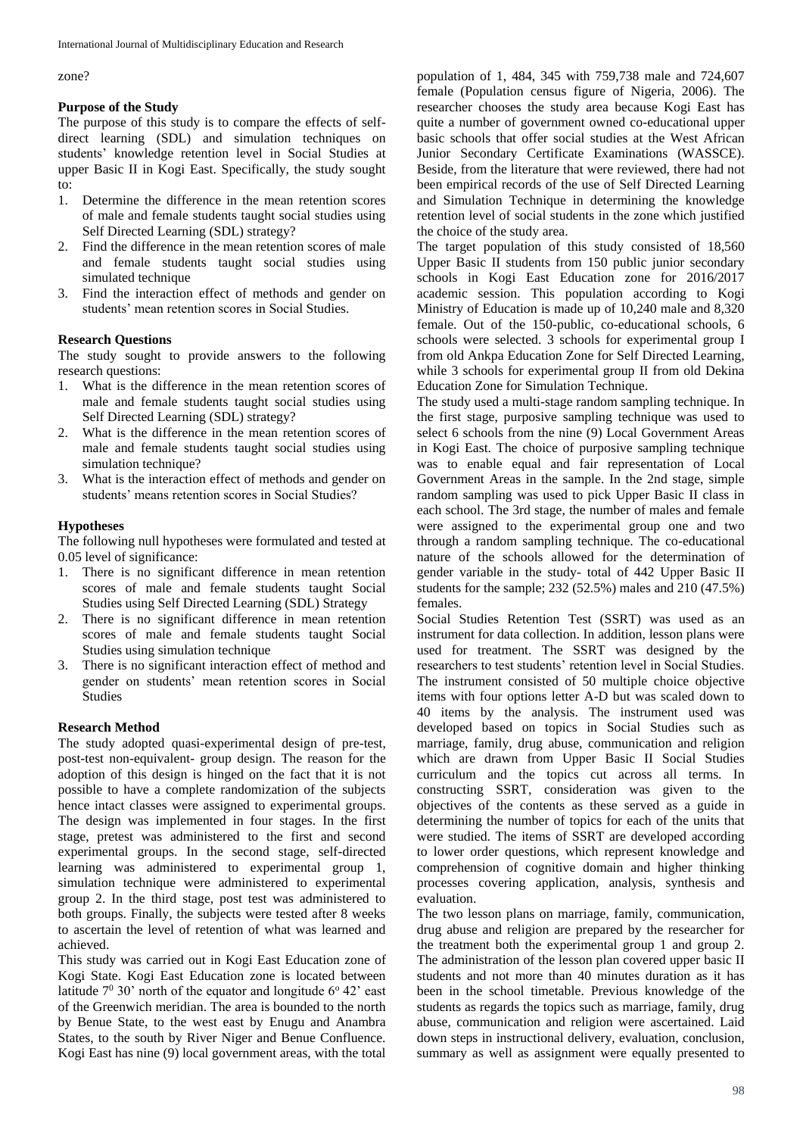zone?

# **Purpose of the Study**

The purpose of this study is to compare the effects of selfdirect learning (SDL) and simulation techniques on students' knowledge retention level in Social Studies at upper Basic II in Kogi East. Specifically, the study sought to:

- 1. Determine the difference in the mean retention scores of male and female students taught social studies using Self Directed Learning (SDL) strategy?
- 2. Find the difference in the mean retention scores of male and female students taught social studies using simulated technique
- 3. Find the interaction effect of methods and gender on students' mean retention scores in Social Studies.

# **Research Questions**

The study sought to provide answers to the following research questions:

- 1. What is the difference in the mean retention scores of male and female students taught social studies using Self Directed Learning (SDL) strategy?
- 2. What is the difference in the mean retention scores of male and female students taught social studies using simulation technique?
- 3. What is the interaction effect of methods and gender on students' means retention scores in Social Studies?

# **Hypotheses**

The following null hypotheses were formulated and tested at 0.05 level of significance:

- 1. There is no significant difference in mean retention scores of male and female students taught Social Studies using Self Directed Learning (SDL) Strategy
- 2. There is no significant difference in mean retention scores of male and female students taught Social Studies using simulation technique
- 3. There is no significant interaction effect of method and gender on students' mean retention scores in Social Studies

# **Research Method**

The study adopted quasi-experimental design of pre-test, post-test non-equivalent- group design. The reason for the adoption of this design is hinged on the fact that it is not possible to have a complete randomization of the subjects hence intact classes were assigned to experimental groups. The design was implemented in four stages. In the first stage, pretest was administered to the first and second experimental groups. In the second stage, self-directed learning was administered to experimental group 1, simulation technique were administered to experimental group 2. In the third stage, post test was administered to both groups. Finally, the subjects were tested after 8 weeks to ascertain the level of retention of what was learned and achieved.

This study was carried out in Kogi East Education zone of Kogi State. Kogi East Education zone is located between latitude  $7^{\circ}$  30' north of the equator and longitude  $6^{\circ}$  42' east of the Greenwich meridian. The area is bounded to the north by Benue State, to the west east by Enugu and Anambra States, to the south by River Niger and Benue Confluence. Kogi East has nine (9) local government areas, with the total

population of 1, 484, 345 with 759,738 male and 724,607 female (Population census figure of Nigeria, 2006). The researcher chooses the study area because Kogi East has quite a number of government owned co-educational upper basic schools that offer social studies at the West African Junior Secondary Certificate Examinations (WASSCE). Beside, from the literature that were reviewed, there had not been empirical records of the use of Self Directed Learning and Simulation Technique in determining the knowledge retention level of social students in the zone which justified the choice of the study area.

The target population of this study consisted of 18,560 Upper Basic II students from 150 public junior secondary schools in Kogi East Education zone for 2016/2017 academic session. This population according to Kogi Ministry of Education is made up of 10,240 male and 8,320 female. Out of the 150-public, co-educational schools, 6 schools were selected. 3 schools for experimental group I from old Ankpa Education Zone for Self Directed Learning, while 3 schools for experimental group II from old Dekina Education Zone for Simulation Technique.

The study used a multi-stage random sampling technique. In the first stage, purposive sampling technique was used to select 6 schools from the nine (9) Local Government Areas in Kogi East. The choice of purposive sampling technique was to enable equal and fair representation of Local Government Areas in the sample. In the 2nd stage, simple random sampling was used to pick Upper Basic II class in each school. The 3rd stage, the number of males and female were assigned to the experimental group one and two through a random sampling technique. The co-educational nature of the schools allowed for the determination of gender variable in the study- total of 442 Upper Basic II students for the sample; 232 (52.5%) males and 210 (47.5%) females.

Social Studies Retention Test (SSRT) was used as an instrument for data collection. In addition, lesson plans were used for treatment. The SSRT was designed by the researchers to test students' retention level in Social Studies. The instrument consisted of 50 multiple choice objective items with four options letter A-D but was scaled down to 40 items by the analysis. The instrument used was developed based on topics in Social Studies such as marriage, family, drug abuse, communication and religion which are drawn from Upper Basic II Social Studies curriculum and the topics cut across all terms. In constructing SSRT, consideration was given to the objectives of the contents as these served as a guide in determining the number of topics for each of the units that were studied. The items of SSRT are developed according to lower order questions, which represent knowledge and comprehension of cognitive domain and higher thinking processes covering application, analysis, synthesis and evaluation.

The two lesson plans on marriage, family, communication, drug abuse and religion are prepared by the researcher for the treatment both the experimental group 1 and group 2. The administration of the lesson plan covered upper basic II students and not more than 40 minutes duration as it has been in the school timetable. Previous knowledge of the students as regards the topics such as marriage, family, drug abuse, communication and religion were ascertained. Laid down steps in instructional delivery, evaluation, conclusion, summary as well as assignment were equally presented to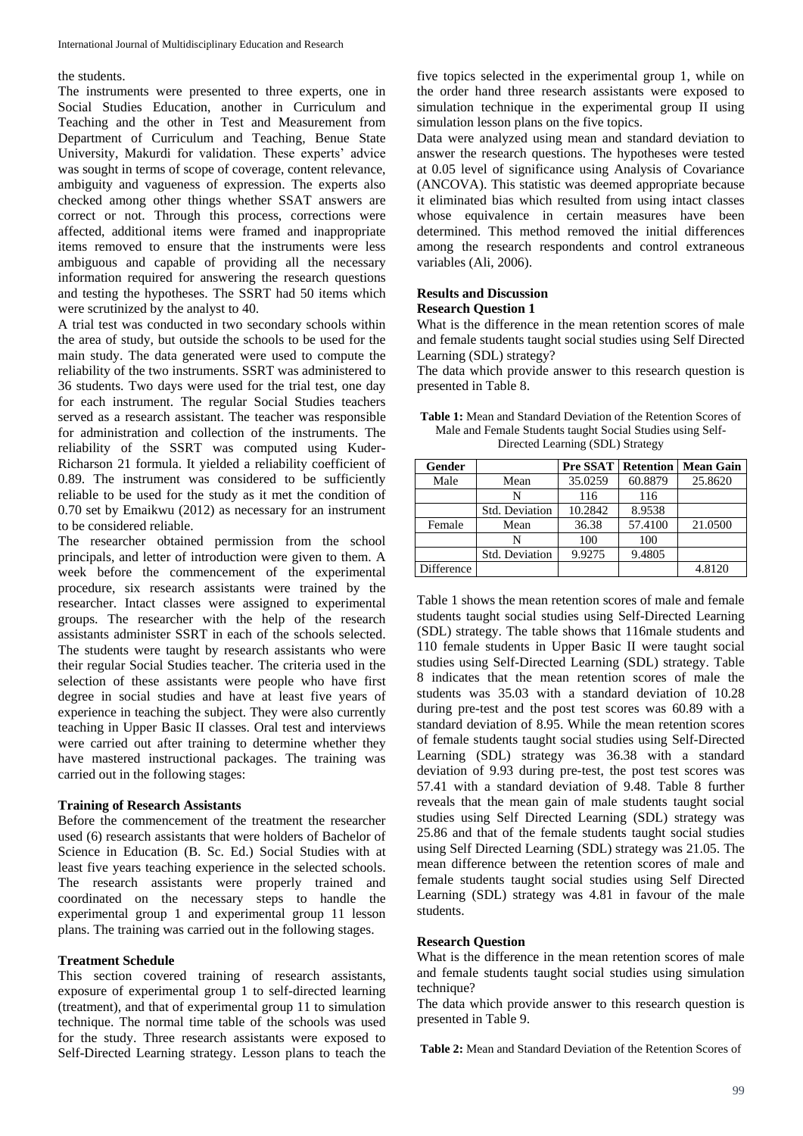### the students.

The instruments were presented to three experts, one in Social Studies Education, another in Curriculum and Teaching and the other in Test and Measurement from Department of Curriculum and Teaching, Benue State University, Makurdi for validation. These experts' advice was sought in terms of scope of coverage, content relevance, ambiguity and vagueness of expression. The experts also checked among other things whether SSAT answers are correct or not. Through this process, corrections were affected, additional items were framed and inappropriate items removed to ensure that the instruments were less ambiguous and capable of providing all the necessary information required for answering the research questions and testing the hypotheses. The SSRT had 50 items which were scrutinized by the analyst to 40.

A trial test was conducted in two secondary schools within the area of study, but outside the schools to be used for the main study. The data generated were used to compute the reliability of the two instruments. SSRT was administered to 36 students. Two days were used for the trial test, one day for each instrument. The regular Social Studies teachers served as a research assistant. The teacher was responsible for administration and collection of the instruments. The reliability of the SSRT was computed using Kuder-Richarson 21 formula. It yielded a reliability coefficient of 0.89. The instrument was considered to be sufficiently reliable to be used for the study as it met the condition of 0.70 set by Emaikwu (2012) as necessary for an instrument to be considered reliable.

The researcher obtained permission from the school principals, and letter of introduction were given to them. A week before the commencement of the experimental procedure, six research assistants were trained by the researcher. Intact classes were assigned to experimental groups. The researcher with the help of the research assistants administer SSRT in each of the schools selected. The students were taught by research assistants who were their regular Social Studies teacher. The criteria used in the selection of these assistants were people who have first degree in social studies and have at least five years of experience in teaching the subject. They were also currently teaching in Upper Basic II classes. Oral test and interviews were carried out after training to determine whether they have mastered instructional packages. The training was carried out in the following stages:

### **Training of Research Assistants**

Before the commencement of the treatment the researcher used (6) research assistants that were holders of Bachelor of Science in Education (B. Sc. Ed.) Social Studies with at least five years teaching experience in the selected schools. The research assistants were properly trained and coordinated on the necessary steps to handle the experimental group 1 and experimental group 11 lesson plans. The training was carried out in the following stages.

#### **Treatment Schedule**

This section covered training of research assistants, exposure of experimental group 1 to self-directed learning (treatment), and that of experimental group 11 to simulation technique. The normal time table of the schools was used for the study. Three research assistants were exposed to Self-Directed Learning strategy. Lesson plans to teach the

five topics selected in the experimental group 1, while on the order hand three research assistants were exposed to simulation technique in the experimental group II using simulation lesson plans on the five topics.

Data were analyzed using mean and standard deviation to answer the research questions. The hypotheses were tested at 0.05 level of significance using Analysis of Covariance (ANCOVA). This statistic was deemed appropriate because it eliminated bias which resulted from using intact classes whose equivalence in certain measures have been determined. This method removed the initial differences among the research respondents and control extraneous variables (Ali, 2006).

### **Results and Discussion Research Question 1**

What is the difference in the mean retention scores of male and female students taught social studies using Self Directed Learning (SDL) strategy?

The data which provide answer to this research question is presented in Table 8.

| <b>Table 1:</b> Mean and Standard Deviation of the Retention Scores of |
|------------------------------------------------------------------------|
| Male and Female Students taught Social Studies using Self-             |
| Directed Learning (SDL) Strategy                                       |

| Gender     |                | Pre SSAT | <b>Retention</b> | <b>Mean Gain</b> |
|------------|----------------|----------|------------------|------------------|
| Male       | Mean           | 35.0259  | 60.8879          | 25.8620          |
|            | N              | 116      | 116              |                  |
|            | Std. Deviation | 10.2842  | 8.9538           |                  |
| Female     | Mean           | 36.38    | 57.4100          | 21.0500          |
|            | N              | 100      | 100              |                  |
|            | Std. Deviation | 9.9275   | 9.4805           |                  |
| Difference |                |          |                  | 4.8120           |

Table 1 shows the mean retention scores of male and female students taught social studies using Self-Directed Learning (SDL) strategy. The table shows that 116male students and 110 female students in Upper Basic II were taught social studies using Self-Directed Learning (SDL) strategy. Table 8 indicates that the mean retention scores of male the students was 35.03 with a standard deviation of 10.28 during pre-test and the post test scores was 60.89 with a standard deviation of 8.95. While the mean retention scores of female students taught social studies using Self-Directed Learning (SDL) strategy was 36.38 with a standard deviation of 9.93 during pre-test, the post test scores was 57.41 with a standard deviation of 9.48. Table 8 further reveals that the mean gain of male students taught social studies using Self Directed Learning (SDL) strategy was 25.86 and that of the female students taught social studies using Self Directed Learning (SDL) strategy was 21.05. The mean difference between the retention scores of male and female students taught social studies using Self Directed Learning (SDL) strategy was 4.81 in favour of the male students.

### **Research Question**

What is the difference in the mean retention scores of male and female students taught social studies using simulation technique?

The data which provide answer to this research question is presented in Table 9.

**Table 2:** Mean and Standard Deviation of the Retention Scores of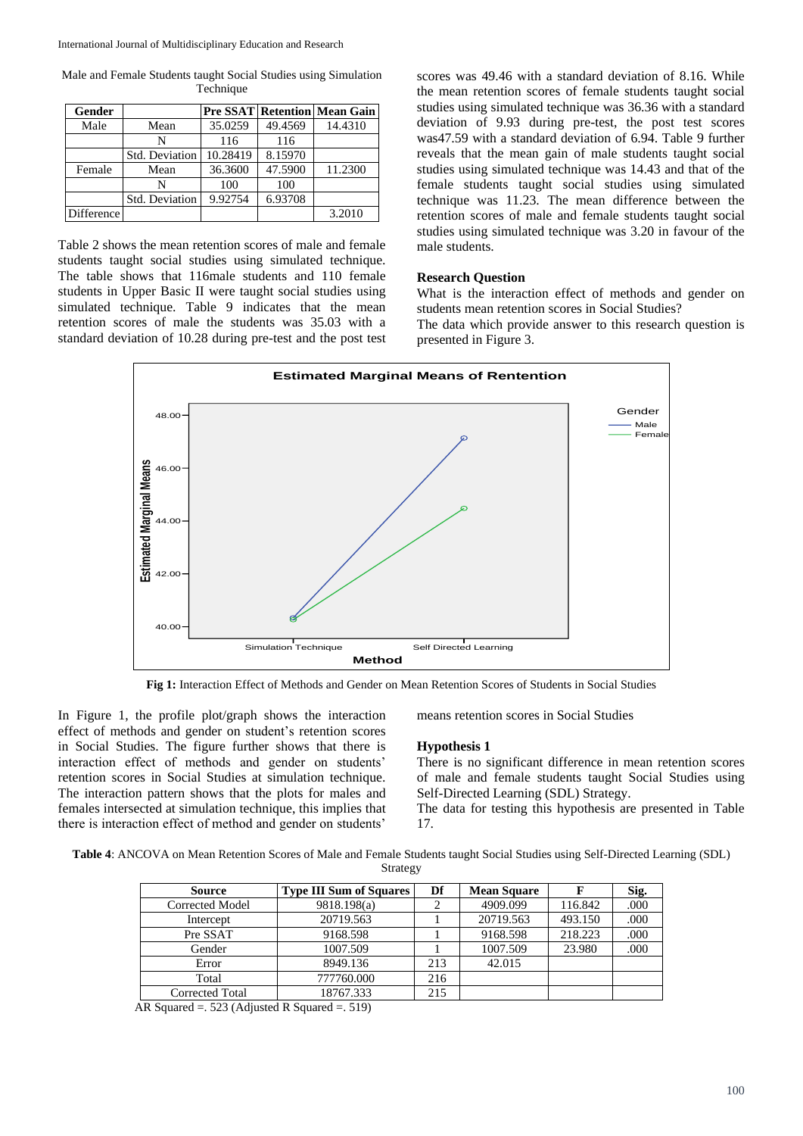Male and Female Students taught Social Studies using Simulation Technique

| Gender     |                |          |         | <b>Pre SSAT Retention Mean Gain</b> |
|------------|----------------|----------|---------|-------------------------------------|
| Male       | Mean           | 35.0259  | 49.4569 | 14.4310                             |
|            | N              | 116      | 116     |                                     |
|            | Std. Deviation | 10.28419 | 8.15970 |                                     |
| Female     | Mean           | 36.3600  | 47.5900 | 11.2300                             |
|            | N              | 100      | 100     |                                     |
|            | Std. Deviation | 9.92754  | 6.93708 |                                     |
| Difference |                |          |         | 3.2010                              |

Table 2 shows the mean retention scores of male and female students taught social studies using simulated technique. The table shows that 116male students and 110 female students in Upper Basic II were taught social studies using simulated technique. Table 9 indicates that the mean retention scores of male the students was 35.03 with a standard deviation of 10.28 during pre-test and the post test

scores was 49.46 with a standard deviation of 8.16. While the mean retention scores of female students taught social studies using simulated technique was 36.36 with a standard deviation of 9.93 during pre-test, the post test scores was47.59 with a standard deviation of 6.94. Table 9 further reveals that the mean gain of male students taught social studies using simulated technique was 14.43 and that of the female students taught social studies using simulated technique was 11.23. The mean difference between the retention scores of male and female students taught social studies using simulated technique was 3.20 in favour of the male students.

# **Research Question**

What is the interaction effect of methods and gender on students mean retention scores in Social Studies?

The data which provide answer to this research question is presented in Figure 3.



**Fig 1:** Interaction Effect of Methods and Gender on Mean Retention Scores of Students in Social Studies

In Figure 1, the profile plot/graph shows the interaction effect of methods and gender on student's retention scores in Social Studies. The figure further shows that there is interaction effect of methods and gender on students' retention scores in Social Studies at simulation technique. The interaction pattern shows that the plots for males and females intersected at simulation technique, this implies that there is interaction effect of method and gender on students'

means retention scores in Social Studies

#### **Hypothesis 1**

There is no significant difference in mean retention scores of male and female students taught Social Studies using Self-Directed Learning (SDL) Strategy.

The data for testing this hypothesis are presented in Table 17.

**Table 4**: ANCOVA on Mean Retention Scores of Male and Female Students taught Social Studies using Self-Directed Learning (SDL) Strategy

| <b>Source</b>   | <b>Type III Sum of Squares</b> | Df  | <b>Mean Square</b> |         | Sig. |
|-----------------|--------------------------------|-----|--------------------|---------|------|
| Corrected Model | 9818.198(a)                    |     | 4909.099           | 116.842 | .000 |
| Intercept       | 20719.563                      |     | 20719.563          | 493.150 | .000 |
| Pre SSAT        | 9168.598                       |     | 9168.598           | 218.223 | .000 |
| Gender          | 1007.509                       |     | 1007.509           | 23.980  | .000 |
| Error           | 8949.136                       | 213 | 42.015             |         |      |
| Total           | 777760.000                     | 216 |                    |         |      |
| Corrected Total | 18767.333                      | 215 |                    |         |      |

AR Squared =. 523 (Adjusted R Squared =. 519)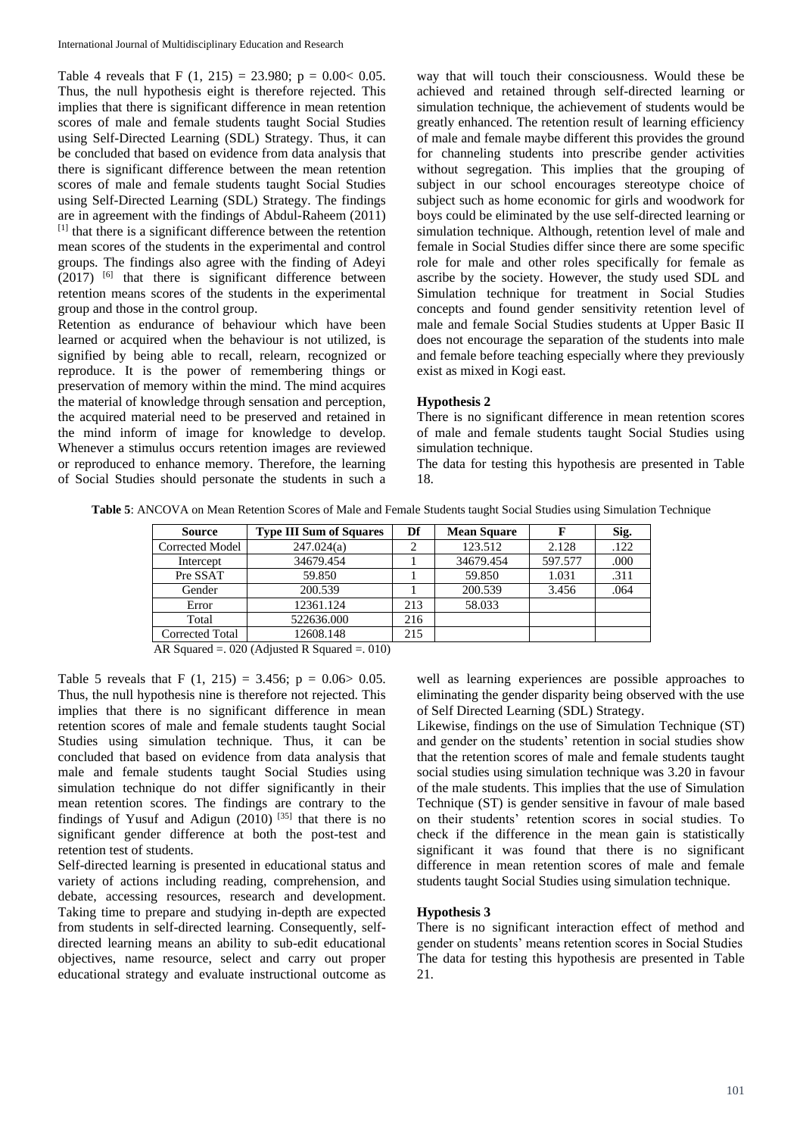Table 4 reveals that F  $(1, 215) = 23.980$ ;  $p = 0.00 < 0.05$ . Thus, the null hypothesis eight is therefore rejected. This implies that there is significant difference in mean retention scores of male and female students taught Social Studies using Self-Directed Learning (SDL) Strategy. Thus, it can be concluded that based on evidence from data analysis that there is significant difference between the mean retention scores of male and female students taught Social Studies using Self-Directed Learning (SDL) Strategy. The findings are in agreement with the findings of Abdul-Raheem (2011) [1] that there is a significant difference between the retention mean scores of the students in the experimental and control groups. The findings also agree with the finding of Adeyi  $(2017)$  <sup>[6]</sup> that there is significant difference between retention means scores of the students in the experimental group and those in the control group.

Retention as endurance of behaviour which have been learned or acquired when the behaviour is not utilized, is signified by being able to recall, relearn, recognized or reproduce. It is the power of remembering things or preservation of memory within the mind. The mind acquires the material of knowledge through sensation and perception, the acquired material need to be preserved and retained in the mind inform of image for knowledge to develop. Whenever a stimulus occurs retention images are reviewed or reproduced to enhance memory. Therefore, the learning of Social Studies should personate the students in such a

way that will touch their consciousness. Would these be achieved and retained through self-directed learning or simulation technique, the achievement of students would be greatly enhanced. The retention result of learning efficiency of male and female maybe different this provides the ground for channeling students into prescribe gender activities without segregation. This implies that the grouping of subject in our school encourages stereotype choice of subject such as home economic for girls and woodwork for boys could be eliminated by the use self-directed learning or simulation technique. Although, retention level of male and female in Social Studies differ since there are some specific role for male and other roles specifically for female as ascribe by the society. However, the study used SDL and Simulation technique for treatment in Social Studies concepts and found gender sensitivity retention level of male and female Social Studies students at Upper Basic II does not encourage the separation of the students into male and female before teaching especially where they previously exist as mixed in Kogi east.

### **Hypothesis 2**

There is no significant difference in mean retention scores of male and female students taught Social Studies using simulation technique.

The data for testing this hypothesis are presented in Table 18.

| <b>Source</b>   | <b>Type III Sum of Squares</b> | Df  | <b>Mean Square</b> |         | Sig. |
|-----------------|--------------------------------|-----|--------------------|---------|------|
| Corrected Model | 247.024(a)                     |     | 123.512            | 2.128   | .122 |
| Intercept       | 34679.454                      |     | 34679.454          | 597.577 | .000 |
| Pre SSAT        | 59.850                         |     | 59.850             | 1.031   | .311 |
| Gender          | 200.539                        |     | 200.539            | 3.456   | .064 |
| Error           | 12361.124                      | 213 | 58.033             |         |      |
| Total           | 522636.000                     | 216 |                    |         |      |
| Corrected Total | 12608.148                      | 215 |                    |         |      |

AR Squared =. 020 (Adjusted R Squared =. 010)

Table 5 reveals that F  $(1, 215) = 3.456$ ;  $p = 0.06 > 0.05$ . Thus, the null hypothesis nine is therefore not rejected. This implies that there is no significant difference in mean retention scores of male and female students taught Social Studies using simulation technique. Thus, it can be concluded that based on evidence from data analysis that male and female students taught Social Studies using simulation technique do not differ significantly in their mean retention scores. The findings are contrary to the findings of Yusuf and Adigun (2010)  $[35]$  that there is no significant gender difference at both the post-test and retention test of students.

Self-directed learning is presented in educational status and variety of actions including reading, comprehension, and debate, accessing resources, research and development. Taking time to prepare and studying in-depth are expected from students in self-directed learning. Consequently, selfdirected learning means an ability to sub-edit educational objectives, name resource, select and carry out proper educational strategy and evaluate instructional outcome as

well as learning experiences are possible approaches to eliminating the gender disparity being observed with the use of Self Directed Learning (SDL) Strategy.

Likewise, findings on the use of Simulation Technique (ST) and gender on the students' retention in social studies show that the retention scores of male and female students taught social studies using simulation technique was 3.20 in favour of the male students. This implies that the use of Simulation Technique (ST) is gender sensitive in favour of male based on their students' retention scores in social studies. To check if the difference in the mean gain is statistically significant it was found that there is no significant difference in mean retention scores of male and female students taught Social Studies using simulation technique.

## **Hypothesis 3**

There is no significant interaction effect of method and gender on students' means retention scores in Social Studies The data for testing this hypothesis are presented in Table 21.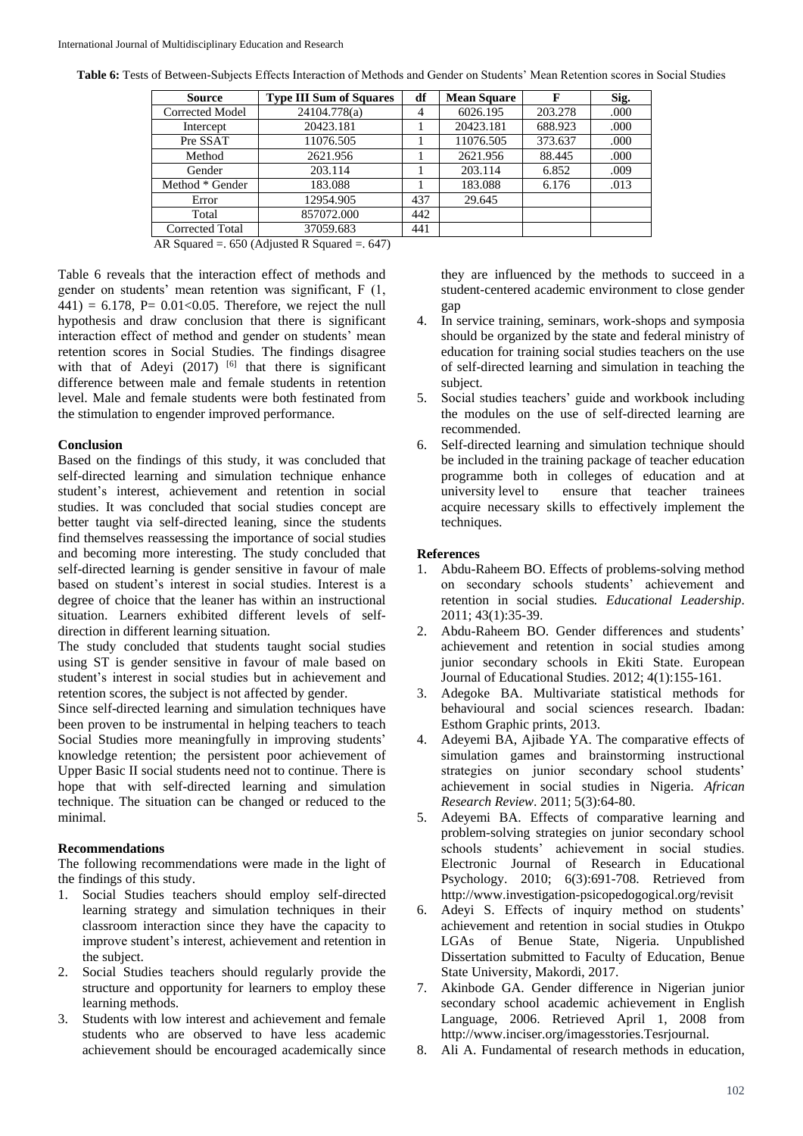|  |  |  |  |  |  | Table 6: Tests of Between-Subjects Effects Interaction of Methods and Gender on Students' Mean Retention scores in Social Studies |  |
|--|--|--|--|--|--|-----------------------------------------------------------------------------------------------------------------------------------|--|
|--|--|--|--|--|--|-----------------------------------------------------------------------------------------------------------------------------------|--|

| <b>Source</b>   | <b>Type III Sum of Squares</b> | df             | <b>Mean Square</b> |         | Sig. |
|-----------------|--------------------------------|----------------|--------------------|---------|------|
| Corrected Model | 24104.778(a)                   | $\overline{4}$ | 6026.195           | 203.278 | .000 |
| Intercept       | 20423.181                      |                | 20423.181          | 688.923 | .000 |
| Pre SSAT        | 11076.505                      |                | 11076.505          | 373.637 | .000 |
| Method          | 2621.956                       |                | 2621.956           | 88.445  | .000 |
| Gender          | 203.114                        |                | 203.114            | 6.852   | .009 |
| Method * Gender | 183.088                        |                | 183.088            | 6.176   | .013 |
| Error           | 12954.905                      | 437            | 29.645             |         |      |
| Total           | 857072.000                     | 442            |                    |         |      |
| Corrected Total | 37059.683                      | 441            |                    |         |      |

AR Squared =  $.650$  (Adjusted R Squared =  $.647$ )

Table 6 reveals that the interaction effect of methods and gender on students' mean retention was significant, F (1,  $441$ ) = 6.178, P= 0.01<0.05. Therefore, we reject the null hypothesis and draw conclusion that there is significant interaction effect of method and gender on students' mean retention scores in Social Studies. The findings disagree with that of Adeyi  $(2017)$  <sup>[6]</sup> that there is significant difference between male and female students in retention level. Male and female students were both festinated from the stimulation to engender improved performance.

### **Conclusion**

Based on the findings of this study, it was concluded that self-directed learning and simulation technique enhance student's interest, achievement and retention in social studies. It was concluded that social studies concept are better taught via self-directed leaning, since the students find themselves reassessing the importance of social studies and becoming more interesting. The study concluded that self-directed learning is gender sensitive in favour of male based on student's interest in social studies. Interest is a degree of choice that the leaner has within an instructional situation. Learners exhibited different levels of selfdirection in different learning situation.

The study concluded that students taught social studies using ST is gender sensitive in favour of male based on student's interest in social studies but in achievement and retention scores, the subject is not affected by gender.

Since self-directed learning and simulation techniques have been proven to be instrumental in helping teachers to teach Social Studies more meaningfully in improving students' knowledge retention; the persistent poor achievement of Upper Basic II social students need not to continue. There is hope that with self-directed learning and simulation technique. The situation can be changed or reduced to the minimal.

# **Recommendations**

The following recommendations were made in the light of the findings of this study.

- 1. Social Studies teachers should employ self-directed learning strategy and simulation techniques in their classroom interaction since they have the capacity to improve student's interest, achievement and retention in the subject.
- 2. Social Studies teachers should regularly provide the structure and opportunity for learners to employ these learning methods.
- 3. Students with low interest and achievement and female students who are observed to have less academic achievement should be encouraged academically since

they are influenced by the methods to succeed in a student-centered academic environment to close gender gap

- 4. In service training, seminars, work-shops and symposia should be organized by the state and federal ministry of education for training social studies teachers on the use of self-directed learning and simulation in teaching the subject.
- 5. Social studies teachers' guide and workbook including the modules on the use of self-directed learning are recommended.
- 6. Self-directed learning and simulation technique should be included in the training package of teacher education programme both in colleges of education and at university level to ensure that teacher trainees acquire necessary skills to effectively implement the techniques.

# **References**

- 1. Abdu-Raheem BO. Effects of problems-solving method on secondary schools students' achievement and retention in social studies*. Educational Leadership*. 2011; 43(1):35-39.
- 2. Abdu-Raheem BO. Gender differences and students' achievement and retention in social studies among junior secondary schools in Ekiti State. European Journal of Educational Studies. 2012; 4(1):155-161.
- 3. Adegoke BA. Multivariate statistical methods for behavioural and social sciences research. Ibadan: Esthom Graphic prints, 2013.
- 4. Adeyemi BA, Ajibade YA. The comparative effects of simulation games and brainstorming instructional strategies on junior secondary school students' achievement in social studies in Nigeria. *African Research Review*. 2011; 5(3):64-80.
- 5. Adeyemi BA. Effects of comparative learning and problem-solving strategies on junior secondary school schools students' achievement in social studies. Electronic Journal of Research in Educational Psychology. 2010; 6(3):691-708. Retrieved from http://www.investigation-psicopedogogical.org/revisit
- 6. Adeyi S. Effects of inquiry method on students' achievement and retention in social studies in Otukpo LGAs of Benue State, Nigeria. Unpublished Dissertation submitted to Faculty of Education, Benue State University, Makordi, 2017.
- 7. Akinbode GA. Gender difference in Nigerian junior secondary school academic achievement in English Language, 2006. Retrieved April 1, 2008 from http://www.inciser.org/imagesstories.Tesrjournal.
- 8. Ali A. Fundamental of research methods in education,